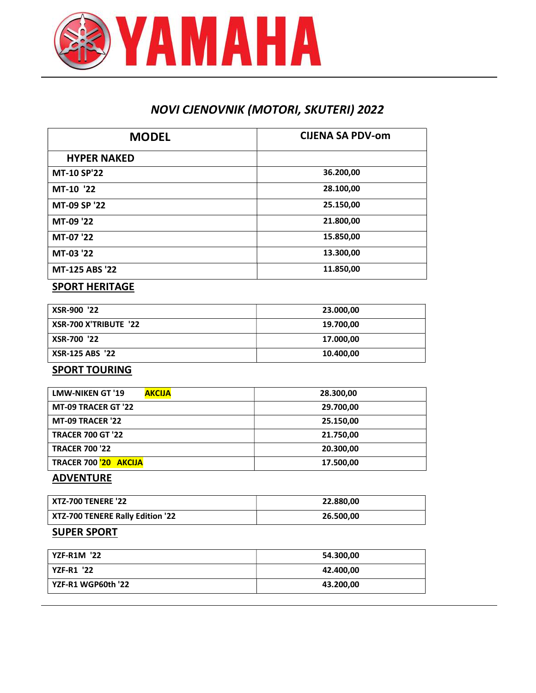

# NOVI CJENOVNIK (MOTORI, SKUTERI) 2022

| <b>MODEL</b>       | <b>CIJENA SA PDV-om</b> |
|--------------------|-------------------------|
| <b>HYPER NAKED</b> |                         |
| <b>MT-10 SP'22</b> | 36.200,00               |
| <b>MT-10 '22</b>   | 28.100,00               |
| MT-09 SP '22       | 25.150,00               |
| MT-09 '22          | 21.800,00               |
| MT-07 '22          | 15.850,00               |
| MT-03 '22          | 13.300,00               |
| MT-125 ABS '22     | 11.850,00               |

### SPORT HERITAGE

| XSR-900 '22            | 23.000,00 |
|------------------------|-----------|
| XSR-700 X'TRIBUTE '22  | 19.700,00 |
| <b>XSR-700 '22</b>     | 17.000,00 |
| <b>XSR-125 ABS '22</b> | 10.400,00 |

### SPORT TOURING

| <b>LMW-NIKEN GT '19</b><br><b>AKCIJA</b> | 28.300,00 |
|------------------------------------------|-----------|
| MT-09 TRACER GT '22                      | 29.700,00 |
| <b>MT-09 TRACER '22</b>                  | 25.150,00 |
| <b>TRACER 700 GT '22</b>                 | 21.750,00 |
| <b>TRACER 700 '22</b>                    | 20.300,00 |
| TRACER 700 '20 AKCIJA                    | 17.500,00 |

## **ADVENTURE**

| <b>XTZ-700 TENERE '22</b>        | 22.880.00 |
|----------------------------------|-----------|
| XTZ-700 TENERE Rally Edition '22 | 26.500.00 |

### SUPER SPORT

| YZF-R1M '22        | 54.300,00 |
|--------------------|-----------|
| YZF-R1 '22         | 42.400,00 |
| YZF-R1 WGP60th '22 | 43.200,00 |